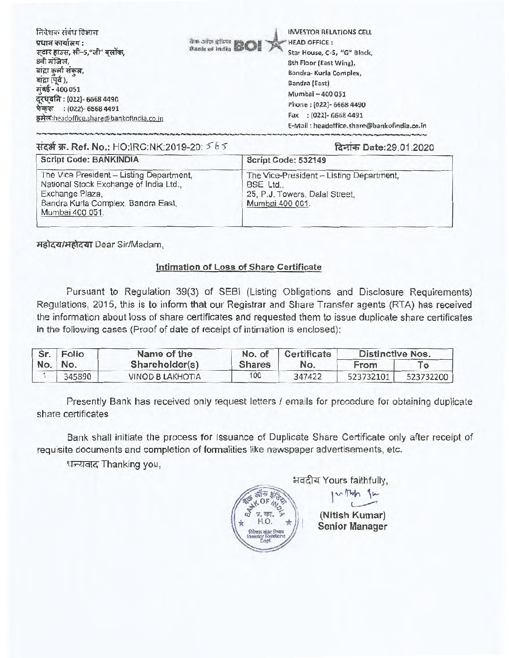| निवेशक संबंध विभाग<br>प्रधान कार्यालय :<br>सटार हाउस, सी-5,"जी" बलॉक,<br>8वी मंजिल,<br>बाद्रा कर्ला संकल,<br>बांद्रा (पूर्व),<br>मुंबई - 400 051<br>दूरधृवनि : (022)- 6668 4490<br>फेकस : (022)- 6568 4491<br>इमेल:headoffice.share@bankofindia.co.in | <b>INVESTOR RELATIONS CELL</b><br><b><i>The Sign of BCI</i></b><br><b>HEAD OFFICE:</b><br>Star House, C-5, "G" Block,<br>8th Floor (East Wing),<br>Bandra- Kurla Complex,<br>Bandra (East)<br>Mumbai - 400 051<br>Phone: (022)- 6668 4490<br>Fax: (022)-6668 4491<br>E-Mail: headoffice.share@bankofindia.co.in |
|-------------------------------------------------------------------------------------------------------------------------------------------------------------------------------------------------------------------------------------------------------|-----------------------------------------------------------------------------------------------------------------------------------------------------------------------------------------------------------------------------------------------------------------------------------------------------------------|
|-------------------------------------------------------------------------------------------------------------------------------------------------------------------------------------------------------------------------------------------------------|-----------------------------------------------------------------------------------------------------------------------------------------------------------------------------------------------------------------------------------------------------------------------------------------------------------------|

## **14-4-4W. Ref. No.:** HO:IRC:NK:2019-20: **C6 '5"** %,,nct, Date:29.01.2020

| <b>Script Code: BANKINDIA</b>                                                                                                                                  | Script Code: 532149                                                                                      |
|----------------------------------------------------------------------------------------------------------------------------------------------------------------|----------------------------------------------------------------------------------------------------------|
| The Vice President - Listing Department,<br>National Stock Exchange of India Ltd.,<br>Exchange Plaza,<br>Bandra Kurla Complex, Bandra East,<br>Mumbai 400 051. | The Vice-President - Listing Department,<br>BSE Ltd<br>25, P.J. Towers, Dalal Street,<br>Mumbai 400 001. |

महोदय/महोदया Dear Sir/Madam,

## **Intimation of Loss of Share Certificate**

Pursuant to Regulation 39(3) of SEBI (Listing Obligations and Disclosure Requirements) Regulations, 2015, this is to inform that our Registrar and Share Transfer agents (RTA) has received the information about loss of share certificates and requested them to issue duplicate share certificates in the following cases (Proof of date of receipt of intimation is enclosed):

| Sr. | Folio   | Name of the      | No. of        | Certificate | <b>Distinctive Nos.</b> |                           |
|-----|---------|------------------|---------------|-------------|-------------------------|---------------------------|
|     | No. No. | Shareholder(s)   | <b>Shares</b> | No.         | From                    | $\mathsf{T}_{\mathsf{O}}$ |
|     | 345890  | VINOD B LAKHOTIA | 100           | 347422      | 523732101               | 523732200                 |

Presently Bank has received only request letters / emails for procedure for obtaining duplicate share certificates

Bank shall initiate the process for Issuance of Duplicate Share Certificate only after receipt of requisite documents and completion of formalities like newspaper advertisements, etc.

धन्यवाद Thanking you,



भवदीय Yours faithfully, **y01+**

> **(Nitish Kumar) Senior Manager**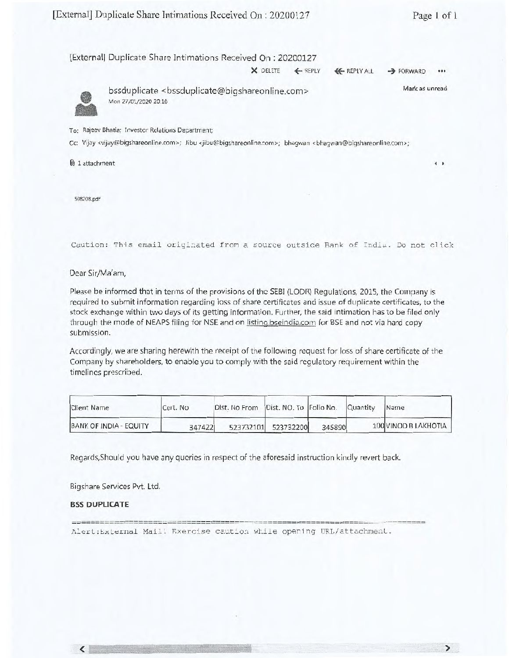$\leftarrow$ 

 $\sum$ 

|  | [External] Duplicate Share Intimations Received On: 20200127 |  |  |  |
|--|--------------------------------------------------------------|--|--|--|
|--|--------------------------------------------------------------|--|--|--|

| X DELETE | <b>EM REPLY</b> | <b>KEPLY ALL</b> | $\rightarrow$ FORWARD | 0.0.0 |
|----------|-----------------|------------------|-----------------------|-------|



bssduplicate <bssduplicate@bigshareonline.com> Mon 27/01/2020 20:10 Mark as unread

To: Rajeev Bhatia; Investor Relations Department;

Cc: Vijay <vijay@bigshareonline.com>; Jibu <jibu@bigshareonline.com>; bhagwan <bhagwan@bigshareonline.com>;

0) 1 attachment

508208.pdf

Caution: This email originated from a source outside Bank of India. Do not click

Dear Sir/Ma'am,

Please be informed that in terms of the provisions of the SEBI (LODR) Regulations, 2015, the Company is required to submit information regarding loss of share certificates and issue of duplicate certificates, to the stock exchange within two days of its getting information. Further, the said intimation has to be filed only through the mode of NEAPS filing for NSE and on listing.bseindia.com for BSE and not via hard copy submission.

Accordingly, we are sharing herewith the receipt of the following request for loss of share certificate of the Company by shareholders, to enable you to comply with the said regulatory requirement within the timelines prescribed.

| <b>Client Name</b>     | Cert. No | Dist. No From Dist. NO. To Folio No. Quantity |                     |        | Name                 |
|------------------------|----------|-----------------------------------------------|---------------------|--------|----------------------|
| BANK OF INDIA - EQUITY | 347422   |                                               | 523732101 523732200 | 345890 | 100 VINOD B LAKHOTIA |

Regards,Should you have any queries in respect of the aforesaid instruction kindly revert back.

Bigshare Services Pvt. Ltd.

 $\frac{1}{2} \frac{1}{2} \frac{1}{2} \frac{1}{2} \frac{1}{2} \frac{1}{2} \frac{1}{2} \frac{1}{2} \frac{1}{2} \frac{1}{2} \frac{1}{2} \frac{1}{2} \frac{1}{2} \frac{1}{2} \frac{1}{2} \frac{1}{2} \frac{1}{2} \frac{1}{2} \frac{1}{2} \frac{1}{2} \frac{1}{2} \frac{1}{2} \frac{1}{2} \frac{1}{2} \frac{1}{2} \frac{1}{2} \frac{1}{2} \frac{1}{2} \frac{1}{2} \frac{1}{2} \frac{1}{2} \frac{$ 

### **BSS DUPLICATE**

 $\left\langle \right\rangle$ 

Alert:External Mail! Exercise caution while opening URL/attachment.